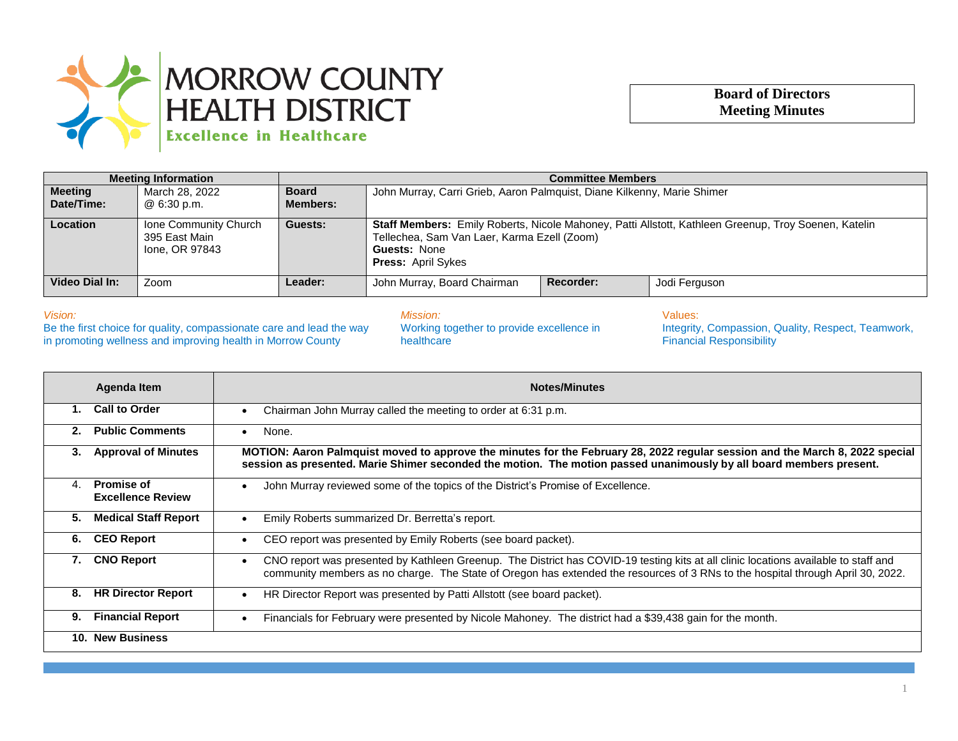

## **Board of Directors Meeting Minutes**

| <b>Meeting Information</b>   |                                                          | <b>Committee Members</b>        |                                                                                                                                                                                                         |           |               |
|------------------------------|----------------------------------------------------------|---------------------------------|---------------------------------------------------------------------------------------------------------------------------------------------------------------------------------------------------------|-----------|---------------|
| <b>Meeting</b><br>Date/Time: | March 28, 2022<br>@ 6:30 p.m.                            | <b>Board</b><br><b>Members:</b> | John Murray, Carri Grieb, Aaron Palmquist, Diane Kilkenny, Marie Shimer                                                                                                                                 |           |               |
| <b>Location</b>              | Ione Community Church<br>395 East Main<br>Ione, OR 97843 | Guests:                         | Staff Members: Emily Roberts, Nicole Mahoney, Patti Allstott, Kathleen Greenup, Troy Soenen, Katelin<br>Tellechea, Sam Van Laer, Karma Ezell (Zoom)<br><b>Guests: None</b><br><b>Press: April Sykes</b> |           |               |
| Video Dial In:               | Zoom                                                     | Leader:                         | John Murray, Board Chairman                                                                                                                                                                             | Recorder: | Jodi Ferguson |

*Vision:*

Be the first choice for quality, compassionate care and lead the way in promoting wellness and improving health in Morrow County

*Mission:* Working together to provide excellence in

healthcare

Values: Integrity, Compassion, Quality, Respect, Teamwork, Financial Responsibility

| Agenda Item             |                             | <b>Notes/Minutes</b>                                                                                                                                                                                                                                                   |  |  |
|-------------------------|-----------------------------|------------------------------------------------------------------------------------------------------------------------------------------------------------------------------------------------------------------------------------------------------------------------|--|--|
| <b>Call to Order</b>    |                             | Chairman John Murray called the meeting to order at 6:31 p.m.                                                                                                                                                                                                          |  |  |
| 2.                      | <b>Public Comments</b>      | None.                                                                                                                                                                                                                                                                  |  |  |
| 3.                      | <b>Approval of Minutes</b>  | MOTION: Aaron Palmquist moved to approve the minutes for the February 28, 2022 regular session and the March 8, 2022 special<br>session as presented. Marie Shimer seconded the motion. The motion passed unanimously by all board members present.                    |  |  |
| <b>Promise of</b><br>4. | <b>Excellence Review</b>    | John Murray reviewed some of the topics of the District's Promise of Excellence.                                                                                                                                                                                       |  |  |
| 5.                      | <b>Medical Staff Report</b> | Emily Roberts summarized Dr. Berretta's report.                                                                                                                                                                                                                        |  |  |
| <b>CEO Report</b><br>6. |                             | CEO report was presented by Emily Roberts (see board packet).                                                                                                                                                                                                          |  |  |
| <b>CNO Report</b><br>7. |                             | CNO report was presented by Kathleen Greenup. The District has COVID-19 testing kits at all clinic locations available to staff and<br>community members as no charge. The State of Oregon has extended the resources of 3 RNs to the hospital through April 30, 2022. |  |  |
| 8.                      | <b>HR Director Report</b>   | HR Director Report was presented by Patti Allstott (see board packet).                                                                                                                                                                                                 |  |  |
| 9.                      | <b>Financial Report</b>     | Financials for February were presented by Nicole Mahoney. The district had a \$39,438 gain for the month.                                                                                                                                                              |  |  |
| 10. New Business        |                             |                                                                                                                                                                                                                                                                        |  |  |